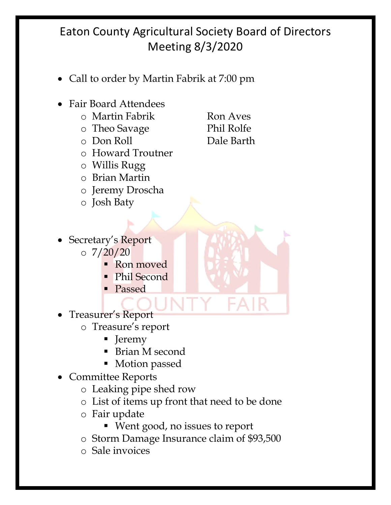## Eaton County Agricultural Society Board of Directors Meeting 8/3/2020

- Call to order by Martin Fabrik at 7:00 pm
- Fair Board Attendees
	- o Martin Fabrik Ron Aves
	- o Theo Savage Phil Rolfe
	-
	- o Howard Troutner
	- o Willis Rugg
	- o Brian Martin
	- o Jeremy Droscha
	- o Josh Baty
	- o Don Roll Dale Barth

- Secretary's Report  $\circ$  7/20/20
	- Ron moved
	- Phil Second
	- Passed
- Treasurer's Report
	- o Treasure's report
		- Jeremy
		- Brian M second
		- Motion passed
- Committee Reports
	- o Leaking pipe shed row
	- o List of items up front that need to be done
	- o Fair update
		- § Went good, no issues to report
	- o Storm Damage Insurance claim of \$93,500
	- o Sale invoices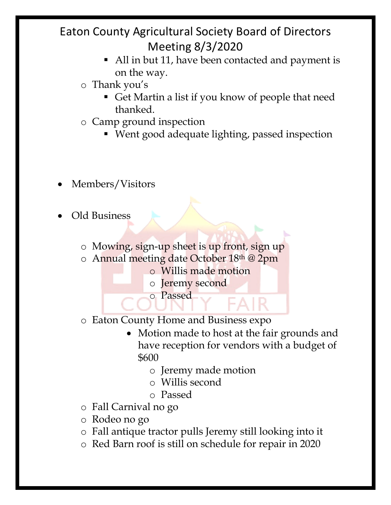## Eaton County Agricultural Society Board of Directors Meeting 8/3/2020

- All in but 11, have been contacted and payment is on the way.
- o Thank you's
	- Get Martin a list if you know of people that need thanked.
- o Camp ground inspection
	- § Went good adequate lighting, passed inspection
- Members/Visitors
- Old Business
	- o Mowing, sign-up sheet is up front, sign up
	- o Annual meeting date October 18th @ 2pm
		- o Willis made motion
		- o Jeremy second
		- o Passed
	- o Eaton County Home and Business expo
		- Motion made to host at the fair grounds and have reception for vendors with a budget of \$600
			- o Jeremy made motion
			- o Willis second
			- o Passed
	- o Fall Carnival no go
	- o Rodeo no go
	- o Fall antique tractor pulls Jeremy still looking into it
	- o Red Barn roof is still on schedule for repair in 2020